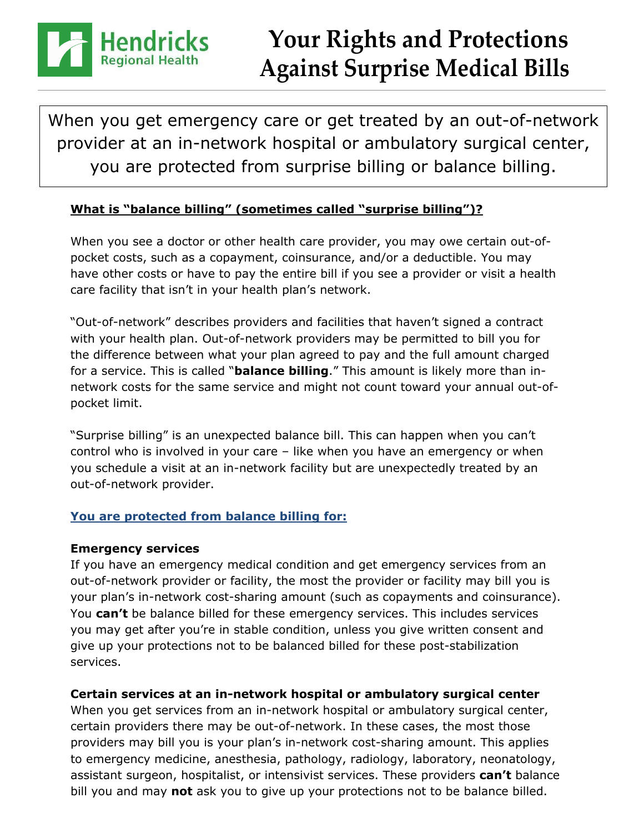

# **Your Rights and Protections Against Surprise Medical Bills**

When you get emergency care or get treated by an out-of-network provider at an in-network hospital or ambulatory surgical center, you are protected from surprise billing or balance billing.

### **What is "balance billing" (sometimes called "surprise billing")?**

When you see a doctor or other health care provider, you may owe certain out-ofpocket costs, such as a copayment, coinsurance, and/or a deductible. You may have other costs or have to pay the entire bill if you see a provider or visit a health care facility that isn't in your health plan's network.

"Out-of-network" describes providers and facilities that haven't signed a contract with your health plan. Out-of-network providers may be permitted to bill you for the difference between what your plan agreed to pay and the full amount charged for a service. This is called "**balance billing**." This amount is likely more than innetwork costs for the same service and might not count toward your annual out-ofpocket limit.

"Surprise billing" is an unexpected balance bill. This can happen when you can't control who is involved in your care – like when you have an emergency or when you schedule a visit at an in-network facility but are unexpectedly treated by an out-of-network provider.

## **You are protected from balance billing for:**

### **Emergency services**

If you have an emergency medical condition and get emergency services from an out-of-network provider or facility, the most the provider or facility may bill you is your plan's in-network cost-sharing amount (such as copayments and coinsurance). You **can't** be balance billed for these emergency services. This includes services you may get after you're in stable condition, unless you give written consent and give up your protections not to be balanced billed for these post-stabilization services.

### **Certain services at an in-network hospital or ambulatory surgical center**

When you get services from an in-network hospital or ambulatory surgical center, certain providers there may be out-of-network. In these cases, the most those providers may bill you is your plan's in-network cost-sharing amount. This applies to emergency medicine, anesthesia, pathology, radiology, laboratory, neonatology, assistant surgeon, hospitalist, or intensivist services. These providers **can't** balance bill you and may **not** ask you to give up your protections not to be balance billed.